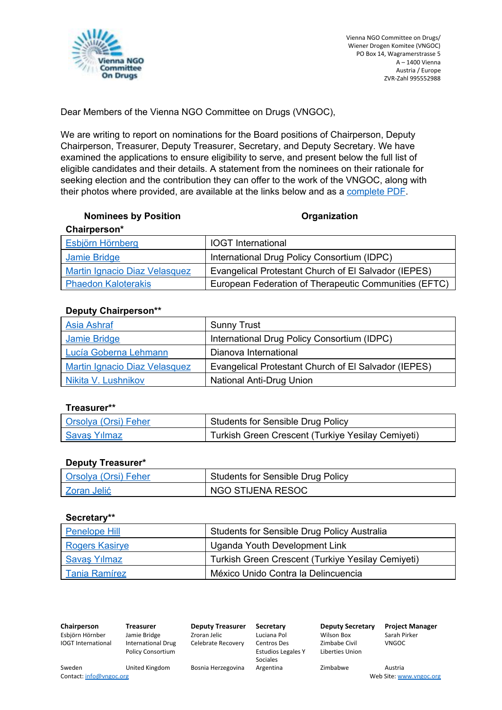

Dear Members of the Vienna NGO Committee on Drugs (VNGOC),

We are writing to report on nominations for the Board positions of Chairperson, Deputy Chairperson, Treasurer, Deputy Treasurer, Secretary, and Deputy Secretary. We have examined the applications to ensure eligibility to serve, and present below the full list of eligible candidates and their details. A statement from the nominees on their rationale for seeking election and the contribution they can offer to the work of the VNGOC, along with their photos where provided, are available at the links below and as a [complete](http://vngoc.org/wp-content/uploads/2018/02/All-Candidate-Profiles.pdf) PDF.

#### **Nominees** by Position **Construction Organization**

| Chairperson*                         |                                                       |
|--------------------------------------|-------------------------------------------------------|
| <b>Esbjörn Hörnberg</b>              | <b>IOGT</b> International                             |
| Jamie Bridge                         | International Drug Policy Consortium (IDPC)           |
| <b>Martin Ignacio Diaz Velasquez</b> | Evangelical Protestant Church of El Salvador (IEPES)  |
| <b>Phaedon Kaloterakis</b>           | European Federation of Therapeutic Communities (EFTC) |

## **Deputy Chairperson\*\***

| <b>Asia Ashraf</b>                   | <b>Sunny Trust</b>                                   |
|--------------------------------------|------------------------------------------------------|
| Jamie Bridge                         | International Drug Policy Consortium (IDPC)          |
| Lucía Goberna Lehmann                | Dianova International                                |
| <b>Martin Ignacio Diaz Velasquez</b> | Evangelical Protestant Church of El Salvador (IEPES) |
| Nikita V. Lushnikov                  | <b>National Anti-Drug Union</b>                      |

## **Treasurer\*\***

| <b>Orsolya (Orsi) Feher</b> | Students for Sensible Drug Policy                 |
|-----------------------------|---------------------------------------------------|
| <b>Savas Yilmaz</b>         | Turkish Green Crescent (Turkiye Yesilay Cemiyeti) |

#### **Deputy Treasurer\***

| Orsolya (Orsi) Feher | Students for Sensible Drug Policy |
|----------------------|-----------------------------------|
| Zoran Jelić          | NGO STIJENA RESOC                 |

#### **Secretary\*\***

| Penelope Hill         | <b>Students for Sensible Drug Policy Australia</b> |
|-----------------------|----------------------------------------------------|
| <b>Rogers Kasirye</b> | Uganda Youth Development Link                      |
| <b>Savas Yılmaz</b>   | Turkish Green Crescent (Turkiye Yesilay Cemiyeti)  |
| Tania Ramírez         | México Unido Contra la Delincuencia                |

**Chairperson Treasurer Deputy Treasurer Secretary Deputy Secretary Project Manager** Esbjörn Hörnber Jamie Bridge Zroran Jelic Luciana Pol Wilson Box Sarah Pirker IOGT International International Drug Policy Consortium Celebrate Recovery Centros Des Estudios Legales Y Sociales Zimbabe Civil Liberties Union VNGOC Sweden United Kingdom Bosnia Herzegovina Argentina Zimbabwe Austria<br>Contact: info@vngoc.org Web Site: ww Web Site: [www.vngoc.org](http://www.vngoc.org/)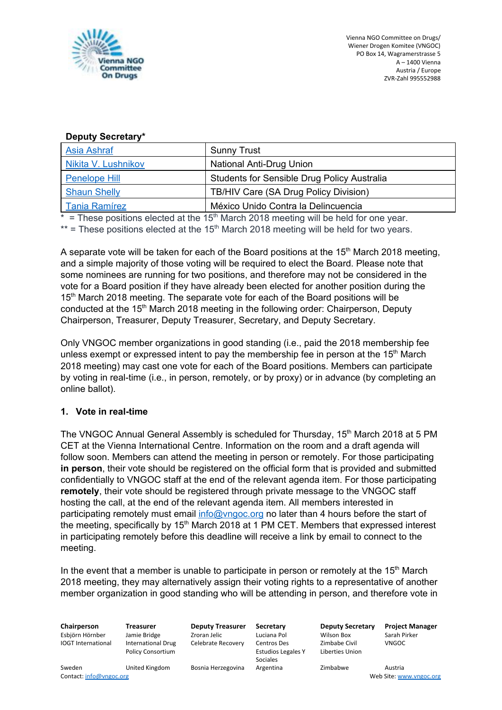

## **Deputy Secretary\***

| <b>Asia Ashraf</b>   | <b>Sunny Trust</b>                                 |
|----------------------|----------------------------------------------------|
| Nikita V. Lushnikov  | <b>National Anti-Drug Union</b>                    |
| <b>Penelope Hill</b> | <b>Students for Sensible Drug Policy Australia</b> |
| <b>Shaun Shelly</b>  | TB/HIV Care (SA Drug Policy Division)              |
| <b>Tania Ramírez</b> | México Unido Contra la Delincuencia                |

 $*$  = These positions elected at the 15<sup>th</sup> March 2018 meeting will be held for one year.

 $**$  = These positions elected at the 15<sup>th</sup> March 2018 meeting will be held for two years.

A separate vote will be taken for each of the Board positions at the 15<sup>th</sup> March 2018 meeting, and a simple majority of those voting will be required to elect the Board. Please note that some nominees are running for two positions, and therefore may not be considered in the vote for a Board position if they have already been elected for another position during the 15<sup>th</sup> March 2018 meeting. The separate vote for each of the Board positions will be conducted at the 15<sup>th</sup> March 2018 meeting in the following order: Chairperson, Deputy Chairperson, Treasurer, Deputy Treasurer, Secretary, and Deputy Secretary.

Only VNGOC member organizations in good standing (i.e., paid the 2018 membership fee unless exempt or expressed intent to pay the membership fee in person at the 15<sup>th</sup> March 2018 meeting) may cast one vote for each of the Board positions. Members can participate by voting in real-time (i.e., in person, remotely, or by proxy) or in advance (by completing an online ballot).

# **1. Vote in real-time**

The VNGOC Annual General Assembly is scheduled for Thursday, 15<sup>th</sup> March 2018 at 5 PM CET at the Vienna International Centre. Information on the room and a draft agenda will follow soon. Members can attend the meeting in person or remotely. For those participating **in person**, their vote should be registered on the official form that is provided and submitted confidentially to VNGOC staff at the end of the relevant agenda item. For those participating **remotely**, their vote should be registered through private message to the VNGOC staff hosting the call, at the end of the relevant agenda item. All members interested in participating remotely must email [info@vngoc.org](mailto:info@vngoc.org) no later than 4 hours before the start of the meeting, specifically by 15<sup>th</sup> March 2018 at 1 PM CET. Members that expressed interest in participating remotely before this deadline will receive a link by email to connect to the meeting.

In the event that a member is unable to participate in person or remotely at the  $15<sup>th</sup>$  March 2018 meeting, they may alternatively assign their voting rights to a representative of another member organization in good standing who will be attending in person, and therefore vote in

IOGT International International Drug Policy Consortium

Esbjörn Hörnber Jamie Bridge Zroran Jelic Luciana Pol Wilson Box Sarah Pirker Celebrate Recovery Centros Des

Estudios Legales Y Sociales

**Chairperson Treasurer Deputy Treasurer Secretary Deputy Secretary Project Manager** Zimbabe Civil Liberties Union

VNGOC

Sweden United Kingdom Bosnia Herzegovina Argentina Zimbabwe Austria<br>Contact: info@vngoc.org Web Site: ww

Web Site: [www.vngoc.org](http://www.vngoc.org/)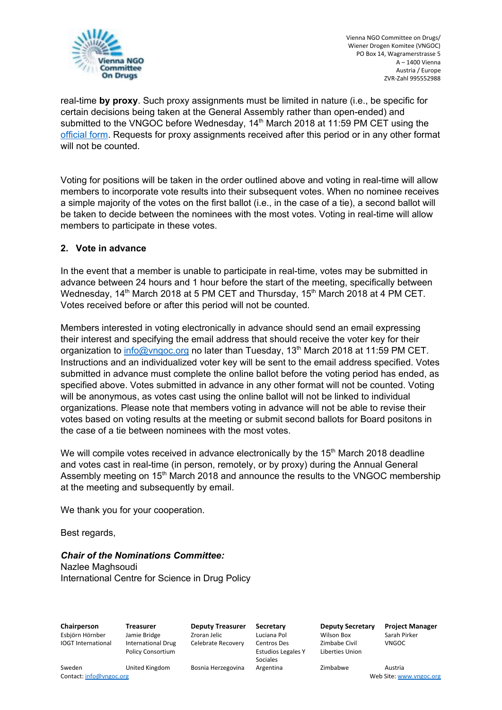

real-time **by proxy**. Such proxy assignments must be limited in nature (i.e., be specific for certain decisions being taken at the General Assembly rather than open-ended) and submitted to the VNGOC before Wednesday, 14<sup>th</sup> March 2018 at 11:59 PM CET using the [official](http://vngoc.org/wp-content/uploads/2018/02/Proxy-Voting-Form.docx) form. Requests for proxy assignments received after this period or in any other format will not be counted.

Voting for positions will be taken in the order outlined above and voting in real-time will allow members to incorporate vote results into their subsequent votes. When no nominee receives a simple majority of the votes on the first ballot (i.e., in the case of a tie), a second ballot will be taken to decide between the nominees with the most votes. Voting in real-time will allow members to participate in these votes.

## **2. Vote in advance**

In the event that a member is unable to participate in real-time, votes may be submitted in advance between 24 hours and 1 hour before the start of the meeting, specifically between Wednesday, 14<sup>th</sup> March 2018 at 5 PM CET and Thursday, 15<sup>th</sup> March 2018 at 4 PM CET. Votes received before or after this period will not be counted.

Members interested in voting electronically in advance should send an email expressing their interest and specifying the email address that should receive the voter key for their organization to *[info@vngoc.org](mailto:info@vngoc.org)* no later than Tuesday, 13<sup>th</sup> March 2018 at 11:59 PM CET. Instructions and an individualized voter key will be sent to the email address specified. Votes submitted in advance must complete the online ballot before the voting period has ended, as specified above. Votes submitted in advance in any other format will not be counted. Voting will be anonymous, as votes cast using the online ballot will not be linked to individual organizations. Please note that members voting in advance will not be able to revise their votes based on voting results at the meeting or submit second ballots for Board positons in the case of a tie between nominees with the most votes.

We will compile votes received in advance electronically by the 15<sup>th</sup> March 2018 deadline and votes cast in real-time (in person, remotely, or by proxy) during the Annual General Assembly meeting on 15<sup>th</sup> March 2018 and announce the results to the VNGOC membership at the meeting and subsequently by email.

We thank you for your cooperation.

Best regards,

*Chair of the Nominations Committee:* Nazlee Maghsoudi International Centre for Science in Drug Policy

**Chairperson Treasurer Deputy Treasurer Secretary Deputy Secretary Project Manager** Esbjörn Hörnber Jamie Bridge Zroran Jelic Luciana Pol Wilson Box Sarah Pirker

IOGT International International Drug Policy Consortium

Celebrate Recovery Centros Des

Estudios Legales Y Sociales

Zimbabe Civil Liberties Union

VNGOC

Sweden United Kingdom Bosnia Herzegovina Argentina Zimbabwe Austria<br>Contact: info@vngoc.org Web Site: ww

Web Site: [www.vngoc.org](http://www.vngoc.org/)